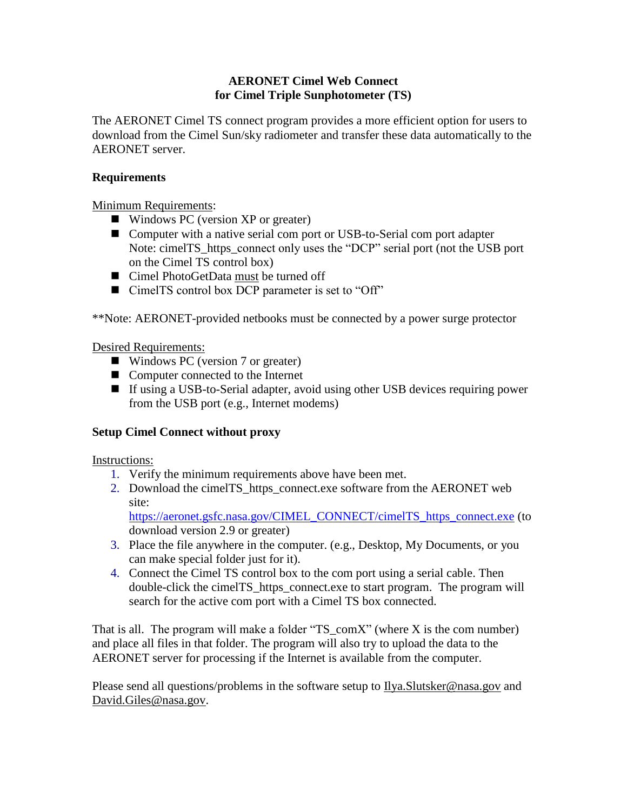# **AERONET Cimel Web Connect for Cimel Triple Sunphotometer (TS)**

The AERONET Cimel TS connect program provides a more efficient option for users to download from the Cimel Sun/sky radiometer and transfer these data automatically to the AERONET server.

# **Requirements**

Minimum Requirements:

- Windows PC (version XP or greater)
- Computer with a native serial com port or USB-to-Serial com port adapter Note: cimelTS\_https\_connect only uses the "DCP" serial port (not the USB port on the Cimel TS control box)
- Cimel PhotoGetData must be turned off
- CimelTS control box DCP parameter is set to "Off"

\*\*Note: AERONET-provided netbooks must be connected by a power surge protector

### Desired Requirements:

- Windows PC (version 7 or greater)
- Computer connected to the Internet
- If using a USB-to-Serial adapter, avoid using other USB devices requiring power from the USB port (e.g., Internet modems)

### **Setup Cimel Connect without proxy**

Instructions:

- 1. Verify the minimum requirements above have been met.
- 2. Download the cimelTS\_https\_connect.exe software from the AERONET web site:

[https://aeronet.gsfc.nasa.gov/CIMEL\\_CONNECT/cimelTS\\_https\\_connect.exe](https://aeronet.gsfc.nasa.gov/CIMEL_CONNECT/cimelTS_https_connect.exe) (to download version 2.9 or greater)

- 3. Place the file anywhere in the computer. (e.g., Desktop, My Documents, or you can make special folder just for it).
- 4. Connect the Cimel TS control box to the com port using a serial cable. Then double-click the cimelTS\_https\_connect.exe to start program. The program will search for the active com port with a Cimel TS box connected.

That is all. The program will make a folder "TS\_comX" (where X is the com number) and place all files in that folder. The program will also try to upload the data to the AERONET server for processing if the Internet is available from the computer.

Please send all questions/problems in the software setup to  $Ilya.Slutsker@nasa.gov$  and [David.Giles@nasa.gov.](mailto:David.Giles@nasa.gov)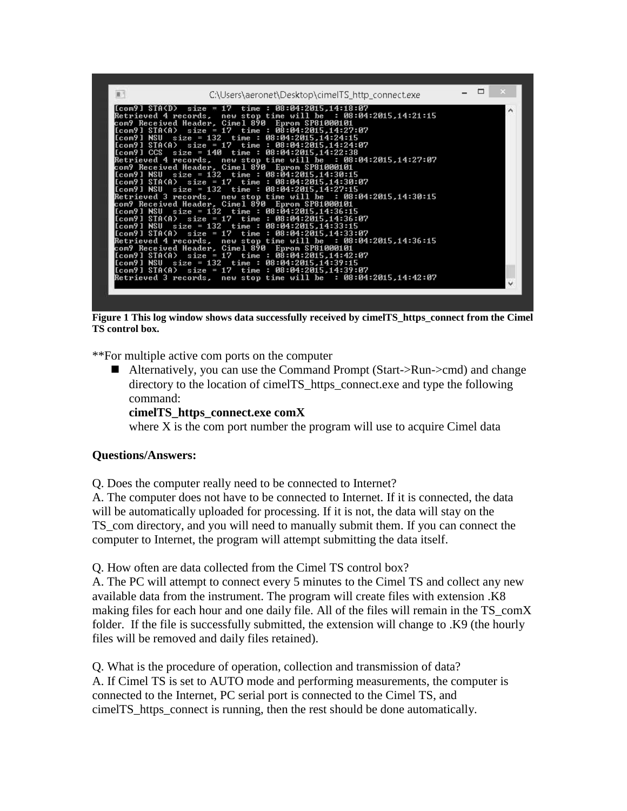

**Figure 1 This log window shows data successfully received by cimelTS\_https\_connect from the Cimel TS control box.**

\*\*For multiple active com ports on the computer

■ Alternatively, you can use the Command Prompt (Start->Run->cmd) and change directory to the location of cimelTS\_https\_connect.exe and type the following command:

#### **cimelTS\_https\_connect.exe comX**

where X is the com port number the program will use to acquire Cimel data

### **Questions/Answers:**

Q. Does the computer really need to be connected to Internet?

A. The computer does not have to be connected to Internet. If it is connected, the data will be automatically uploaded for processing. If it is not, the data will stay on the TS\_com directory, and you will need to manually submit them. If you can connect the computer to Internet, the program will attempt submitting the data itself.

Q. How often are data collected from the Cimel TS control box?

A. The PC will attempt to connect every 5 minutes to the Cimel TS and collect any new available data from the instrument. The program will create files with extension .K8 making files for each hour and one daily file. All of the files will remain in the TS\_comX folder. If the file is successfully submitted, the extension will change to .K9 (the hourly files will be removed and daily files retained).

Q. What is the procedure of operation, collection and transmission of data? A. If Cimel TS is set to AUTO mode and performing measurements, the computer is connected to the Internet, PC serial port is connected to the Cimel TS, and cimelTS\_https\_connect is running, then the rest should be done automatically.